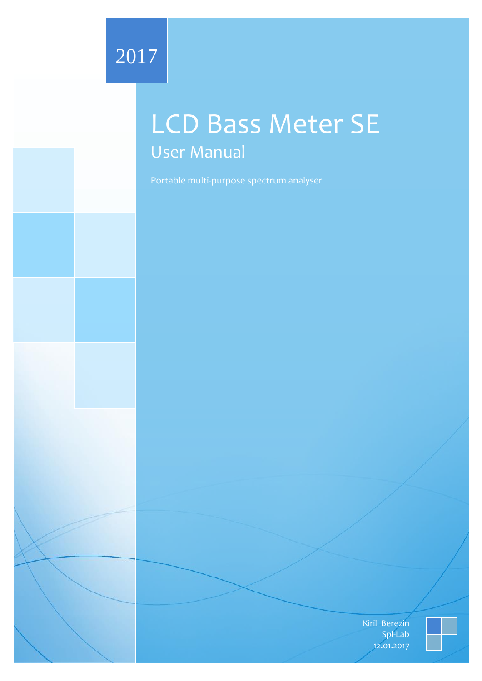# 2017

# LCD Bass Meter SE User Manual

Portable multi-purpose spectrum analyser

Kirill Berezin Spl-Lab 12.01.2017

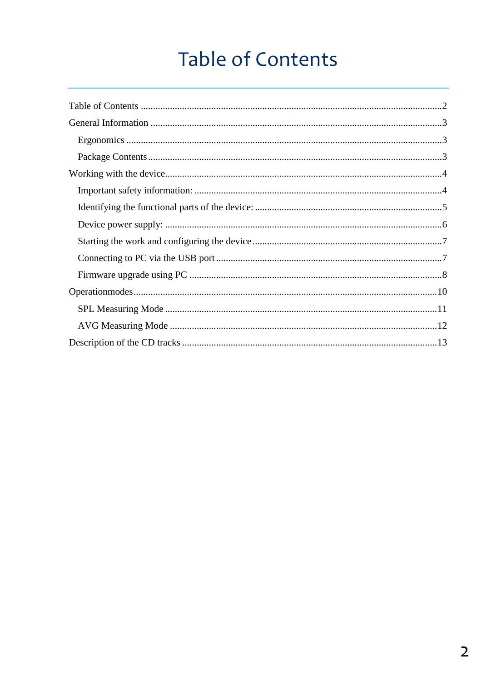# **Table of Contents**

<span id="page-1-0"></span>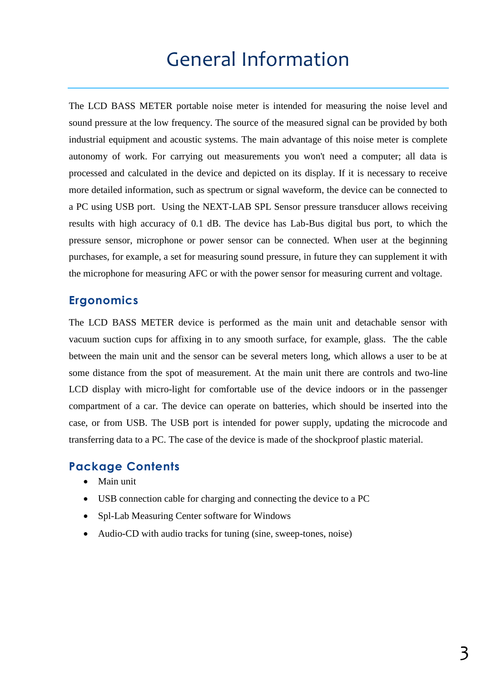# General Information

<span id="page-2-0"></span>The LCD BASS METER portable noise meter is intended for measuring the noise level and sound pressure at the low frequency. The source of the measured signal can be provided by both industrial equipment and acoustic systems. The main advantage of this noise meter is complete autonomy of work. For carrying out measurements you won't need a computer; all data is processed and calculated in the device and depicted on its display. If it is necessary to receive more detailed information, such as spectrum or signal waveform, the device can be connected to a PC using USB port. Using the NEXT-LAB SPL Sensor pressure transducer allows receiving results with high accuracy of 0.1 dB. The device has Lab-Bus digital bus port, to which the pressure sensor, microphone or power sensor can be connected. When user at the beginning purchases, for example, a set for measuring sound pressure, in future they can supplement it with the microphone for measuring AFC or with the power sensor for measuring current and voltage.

### <span id="page-2-1"></span>**Ergonomics**

The LCD BASS METER device is performed as the main unit and detachable sensor with vacuum suction cups for affixing in to any smooth surface, for example, glass. The the cable between the main unit and the sensor can be several meters long, which allows a user to be at some distance from the spot of measurement. At the main unit there are controls and two-line LCD display with micro-light for comfortable use of the device indoors or in the passenger compartment of a car. The device can operate on batteries, which should be inserted into the case, or from USB. The USB port is intended for power supply, updating the microcode and transferring data to a PC. The case of the device is made of the shockproof plastic material.

#### <span id="page-2-2"></span>**Package Contents**

- Main unit
- USB connection cable for charging and connecting the device to a PC
- Spl-Lab Measuring Center software for Windows
- Audio-CD with audio tracks for tuning (sine, sweep-tones, noise)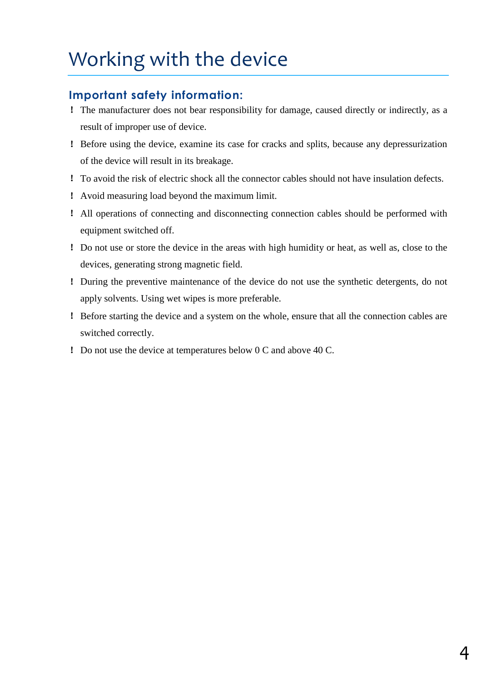# <span id="page-3-0"></span>Working with the device

## <span id="page-3-1"></span>**Important safety information:**

- ! The manufacturer does not bear responsibility for damage, caused directly or indirectly, as a result of improper use of device.
- ! Before using the device, examine its case for cracks and splits, because any depressurization of the device will result in its breakage.
- ! To avoid the risk of electric shock all the connector cables should not have insulation defects.
- ! Avoid measuring load beyond the maximum limit.
- ! All operations of connecting and disconnecting connection cables should be performed with equipment switched off.
- ! Do not use or store the device in the areas with high humidity or heat, as well as, close to the devices, generating strong magnetic field.
- ! During the preventive maintenance of the device do not use the synthetic detergents, do not apply solvents. Using wet wipes is more preferable.
- ! Before starting the device and a system on the whole, ensure that all the connection cables are switched correctly.
- ! Do not use the device at temperatures below 0 C and above 40 C.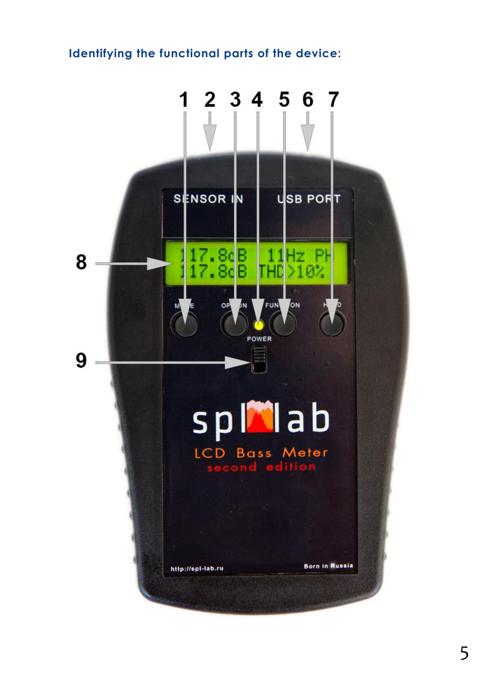## <span id="page-4-0"></span>**Identifying the functional parts of the device:**

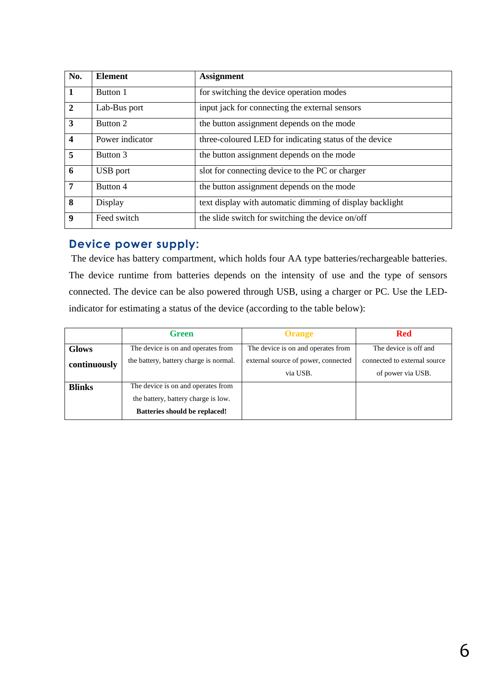| No.                     | <b>Element</b>  | <b>Assignment</b>                                        |
|-------------------------|-----------------|----------------------------------------------------------|
| 1                       | Button 1        | for switching the device operation modes                 |
| $\overline{2}$          | Lab-Bus port    | input jack for connecting the external sensors           |
| $\overline{\mathbf{3}}$ | Button 2        | the button assignment depends on the mode                |
| $\overline{\mathbf{4}}$ | Power indicator | three-coloured LED for indicating status of the device   |
| 5                       | Button 3        | the button assignment depends on the mode                |
| 6                       | USB port        | slot for connecting device to the PC or charger          |
| $\overline{7}$          | Button 4        | the button assignment depends on the mode                |
| 8                       | Display         | text display with automatic dimming of display backlight |
| $\boldsymbol{9}$        | Feed switch     | the slide switch for switching the device on/off         |

#### <span id="page-5-0"></span>**Device power supply:**

The device has battery compartment, which holds four AA type batteries/rechargeable batteries. The device runtime from batteries depends on the intensity of use and the type of sensors connected. The device can be also powered through USB, using a charger or PC. Use the LEDindicator for estimating a status of the device (according to the table below):

|               | <b>Green</b>                                                                                                      | <b>Orange</b>                                   | <b>Red</b>                                        |
|---------------|-------------------------------------------------------------------------------------------------------------------|-------------------------------------------------|---------------------------------------------------|
| <b>Glows</b>  | The device is on and operates from                                                                                | The device is on and operates from              | The device is off and                             |
| continuously  | the battery, battery charge is normal.                                                                            | external source of power, connected<br>via USB. | connected to external source<br>of power via USB. |
| <b>Blinks</b> | The device is on and operates from<br>the battery, battery charge is low.<br><b>Batteries should be replaced!</b> |                                                 |                                                   |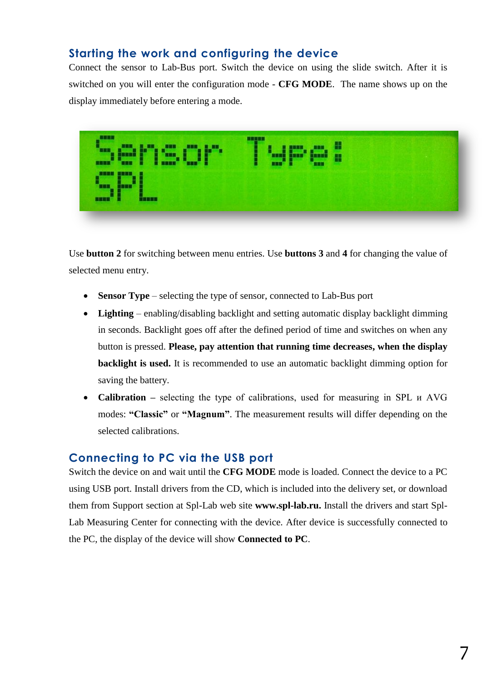## <span id="page-6-0"></span>**Starting the work and configuring the device**

Connect the sensor to Lab-Bus port. Switch the device on using the slide switch. After it is switched on you will enter the configuration mode - **CFG MODE**. The name shows up on the display immediately before entering a mode.

| 8888<br><b>BMR</b><br>189<br>-1-1<br><b>BRIDE</b><br><b>SER</b><br><u> 15 H H</u> 7<br>a wasa<br><b>SEE</b> | <b>BREEK</b><br>╨<br>a in B<br><b>MAN</b> | Ŧ<br>H |  |
|-------------------------------------------------------------------------------------------------------------|-------------------------------------------|--------|--|
| <b>BEEK</b><br>innan I                                                                                      |                                           |        |  |

Use **button 2** for switching between menu entries. Use **buttons 3** and **4** for changing the value of selected menu entry.

- **Sensor Type** selecting the type of sensor, connected to Lab-Bus port
- **Lighting**  enabling/disabling backlight and setting automatic display backlight dimming in seconds. Backlight goes off after the defined period of time and switches on when any button is pressed. **Please, pay attention that running time decreases, when the display backlight is used.** It is recommended to use an automatic backlight dimming option for saving the battery.
- **Calibration** selecting the type of calibrations, used for measuring in SPL  $\mu$  AVG modes: **"Classic"** or **"Magnum"**. The measurement results will differ depending on the selected calibrations.

#### <span id="page-6-1"></span>**Connecting to PC via the USB port**

Switch the device on and wait until the **CFG MODE** mode is loaded. Connect the device to a PC using USB port. Install drivers from the CD, which is included into the delivery set, or download them from Support section at Spl-Lab web site **[www.spl-lab.ru.](http://www.spl-lab.ru/)** Install the drivers and start Spl-Lab Measuring Center for connecting with the device. After device is successfully connected to the PC, the display of the device will show **Connected to PC**.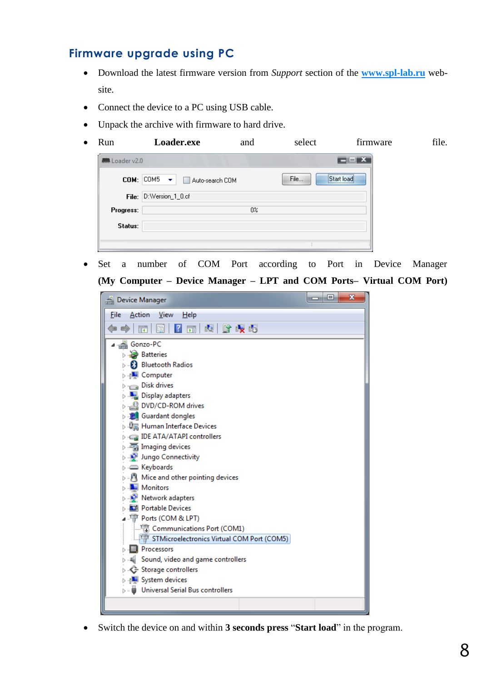### <span id="page-7-0"></span>**Firmware upgrade using PC**

- Download the latest firmware version from *Support* section of the **[www.spl-lab.ru](http://www.spl-lab.ru/)** website.
- Connect the device to a PC using USB cable.
- Unpack the archive with firmware to hard drive.
- Run **Loader.exe** and select firmware file.

| $COM:  COM5 - \mathbf{v} $<br>Auto-search COM |                        |      |                      |
|-----------------------------------------------|------------------------|------|----------------------|
|                                               |                        | File | <br>:Start load:<br> |
|                                               |                        |      |                      |
|                                               | $0\%$                  |      |                      |
|                                               |                        |      |                      |
|                                               | File: D:Wersion_1_0.cf |      |                      |

 Set a number of COM Port according to Port in Device Manager **(My Computer – Device Manager – LPT and COM Ports– Virtual COM Port)** 



Switch the device on and within **3 seconds press** "**Start load**" in the program.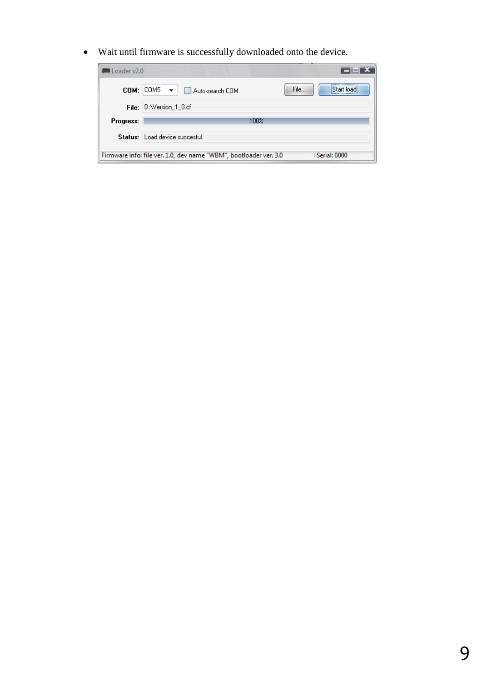Wait until firmware is successfully downloaded onto the device.

| <b>MM</b> Loader v2.0                                                             |                                                                       |  |  |  |
|-----------------------------------------------------------------------------------|-----------------------------------------------------------------------|--|--|--|
|                                                                                   | <br>File<br>$COM:  COM5 - \bullet $<br>Start loadi<br>Auto-search COM |  |  |  |
|                                                                                   | File: D:Wersion_1_0.cf                                                |  |  |  |
| Progress:                                                                         | 100%                                                                  |  |  |  |
|                                                                                   | Status: Load device succesful.                                        |  |  |  |
| Serial: 0000<br>Firmware info: file ver. 1.0, dev name "WBM", bootloader ver. 3.0 |                                                                       |  |  |  |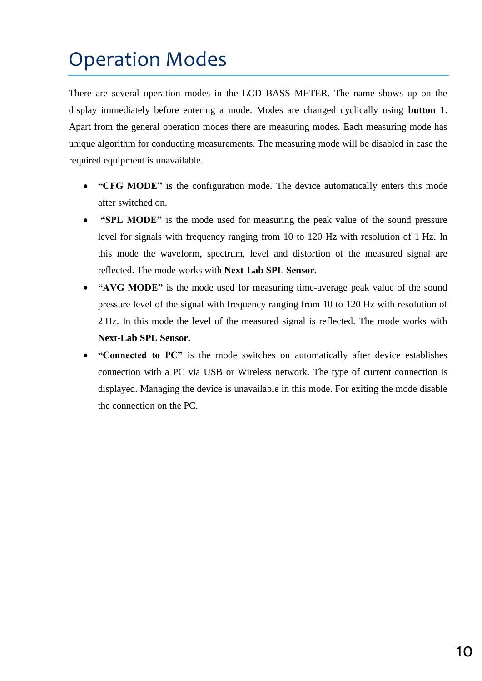# <span id="page-9-0"></span>Operation Modes

There are several operation modes in the LCD BASS METER. The name shows up on the display immediately before entering a mode. Modes are changed cyclically using **button 1**. Apart from the general operation modes there are measuring modes. Each measuring mode has unique algorithm for conducting measurements. The measuring mode will be disabled in case the required equipment is unavailable.

- **"CFG MODE"** is the configuration mode. The device automatically enters this mode after switched on.
- **"SPL MODE"** is the mode used for measuring the peak value of the sound pressure level for signals with frequency ranging from 10 to 120 Hz with resolution of 1 Hz. In this mode the waveform, spectrum, level and distortion of the measured signal are reflected. The mode works with **Next-Lab SPL Sensor.**
- **"AVG MODE"** is the mode used for measuring time-average peak value of the sound pressure level of the signal with frequency ranging from 10 to 120 Hz with resolution of 2 Hz. In this mode the level of the measured signal is reflected. The mode works with **Next-Lab SPL Sensor.**
- **"Connected to PC"** is the mode switches on automatically after device establishes connection with a PC via USB or Wireless network. The type of current connection is displayed. Managing the device is unavailable in this mode. For exiting the mode disable the connection on the PC.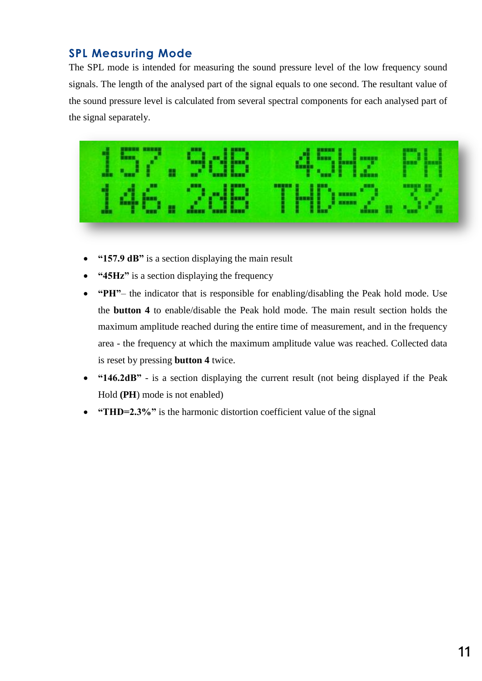## <span id="page-10-0"></span>**SPL Measuring Mode**

The SPL mode is intended for measuring the sound pressure level of the low frequency sound signals. The length of the analysed part of the signal equals to one second. The resultant value of the sound pressure level is calculated from several spectral components for each analysed part of the signal separately.



- **"157.9 dB"** is a section displaying the main result
- **"45Hz"** is a section displaying the frequency
- **"PH"** the indicator that is responsible for enabling/disabling the Peak hold mode. Use the **button 4** to enable/disable the Peak hold mode. The main result section holds the maximum amplitude reached during the entire time of measurement, and in the frequency area - the frequency at which the maximum amplitude value was reached. Collected data is reset by pressing **button 4** twice.
- **"146.2dB"** is a section displaying the current result (not being displayed if the Peak Hold **(PH**) mode is not enabled)
- **"THD=2.3%"** is the harmonic distortion coefficient value of the signal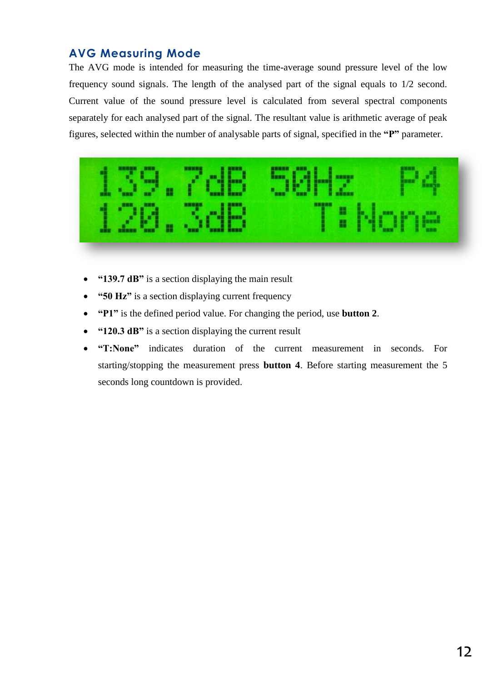## <span id="page-11-0"></span>**AVG Measuring Mode**

The AVG mode is intended for measuring the time-average sound pressure level of the low frequency sound signals. The length of the analysed part of the signal equals to 1/2 second. Current value of the sound pressure level is calculated from several spectral components separately for each analysed part of the signal. The resultant value is arithmetic average of peak figures, selected within the number of analysable parts of signal, specified in the **"P"** parameter.



- **"139.7 dB"** is a section displaying the main result
- **"50 Hz"** is a section displaying current frequency
- **"P1"** is the defined period value. For changing the period, use **button 2**.
- **"120.3 dB"** is a section displaying the current result
- **"T:None"** indicates duration of the current measurement in seconds. For starting/stopping the measurement press **button 4**. Before starting measurement the 5 seconds long countdown is provided.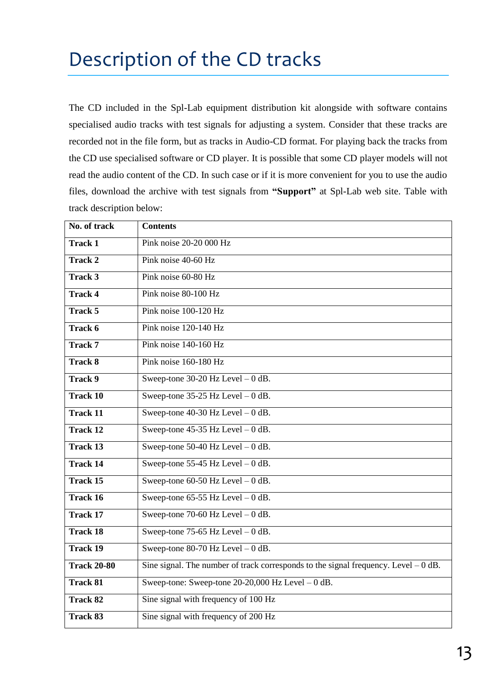# <span id="page-12-0"></span>Description of the CD tracks

The CD included in the Spl-Lab equipment distribution kit alongside with software contains specialised audio tracks with test signals for adjusting a system. Consider that these tracks are recorded not in the file form, but as tracks in Audio-CD format. For playing back the tracks from the CD use specialised software or CD player. It is possible that some CD player models will not read the audio content of the CD. In such case or if it is more convenient for you to use the audio files, download the archive with test signals from **"Support"** at Spl-Lab web site. Table with track description below:

| No. of track       | <b>Contents</b>                                                                      |
|--------------------|--------------------------------------------------------------------------------------|
| <b>Track 1</b>     | Pink noise 20-20 000 Hz                                                              |
| <b>Track 2</b>     | Pink noise 40-60 Hz                                                                  |
| Track 3            | Pink noise 60-80 Hz                                                                  |
| <b>Track 4</b>     | Pink noise 80-100 Hz                                                                 |
| Track 5            | Pink noise 100-120 Hz                                                                |
| Track 6            | Pink noise 120-140 Hz                                                                |
| <b>Track 7</b>     | Pink noise 140-160 Hz                                                                |
| <b>Track 8</b>     | Pink noise 160-180 Hz                                                                |
| <b>Track 9</b>     | Sweep-tone $30-20$ Hz Level $-0$ dB.                                                 |
| <b>Track 10</b>    | Sweep-tone $35-25$ Hz Level $-0$ dB.                                                 |
| <b>Track 11</b>    | Sweep-tone $40-30$ Hz Level $-0$ dB.                                                 |
| <b>Track 12</b>    | Sweep-tone $45-35$ Hz Level $-0$ dB.                                                 |
| <b>Track 13</b>    | Sweep-tone 50-40 Hz Level $-0$ dB.                                                   |
| <b>Track 14</b>    | Sweep-tone $55-45$ Hz Level $-0$ dB.                                                 |
| <b>Track 15</b>    | Sweep-tone 60-50 Hz Level $-0$ dB.                                                   |
| <b>Track 16</b>    | Sweep-tone $65-55$ Hz Level $-0$ dB.                                                 |
| <b>Track 17</b>    | Sweep-tone 70-60 Hz Level $-0$ dB.                                                   |
| <b>Track 18</b>    | Sweep-tone $75-65$ Hz Level $-0$ dB.                                                 |
| <b>Track 19</b>    | Sweep-tone 80-70 Hz Level $-0$ dB.                                                   |
| <b>Track 20-80</b> | Sine signal. The number of track corresponds to the signal frequency. Level $-0$ dB. |
| <b>Track 81</b>    | Sweep-tone: Sweep-tone $20-20,000$ Hz Level $-0$ dB.                                 |
| <b>Track 82</b>    | Sine signal with frequency of 100 Hz                                                 |
| <b>Track 83</b>    | Sine signal with frequency of 200 Hz                                                 |